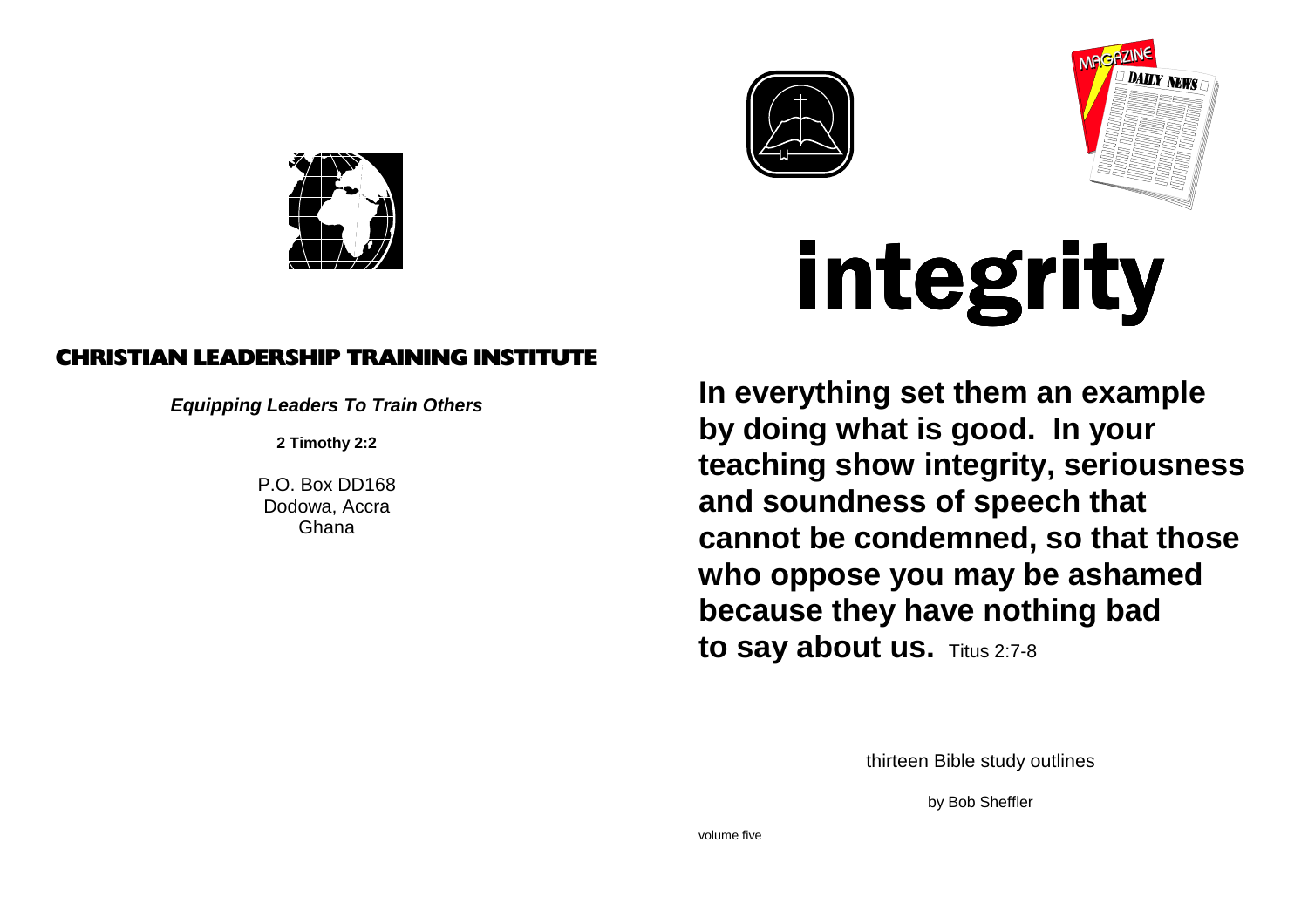





# integrity

 **In everything set them an example by doing what is good. In your teaching show integrity, seriousnessand soundness of speech that cannot be condemned, so that thosewho oppose you may be ashamedbecause they have nothing bad**to say about us. Titus 2:7-8

thirteen Bible study outlines

by Bob Sheffler

## CHRISTIAN LEADERSHIP TRAINING INSTITUTE

**Equipping Leaders To Train Others**

**2 Timothy 2:2**

P.O. Box DD168 Dodowa, AccraGhana

volume five